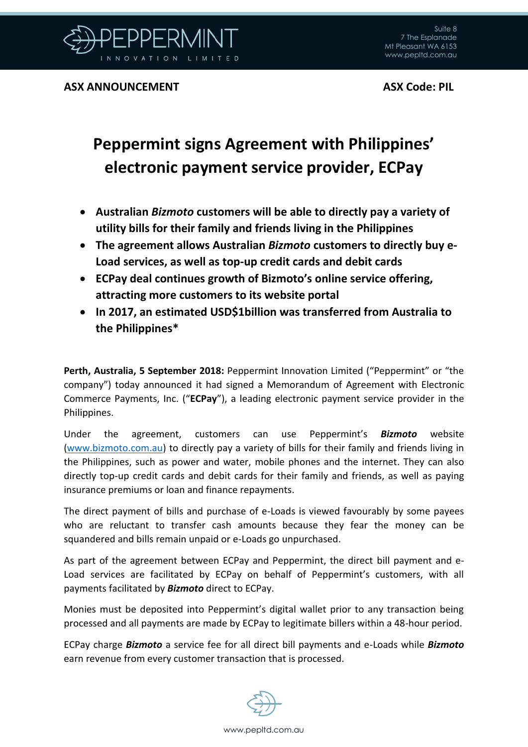

## **Peppermint signs Agreement with Philippines' electronic payment service provider, ECPay**

- **Australian** *Bizmoto* **customers will be able to directly pay a variety of utility bills for their family and friends living in the Philippines**
- **The agreement allows Australian** *Bizmoto* **customers to directly buy e-Load services, as well as top-up credit cards and debit cards**
- **ECPay deal continues growth of Bizmoto's online service offering, attracting more customers to its website portal**
- **In 2017, an estimated USD\$1billion was transferred from Australia to the Philippines\***

**Perth, Australia, 5 September 2018:** Peppermint Innovation Limited ("Peppermint" or "the company") today announced it had signed a Memorandum of Agreement with Electronic Commerce Payments, Inc. ("**ECPay**"), a leading electronic payment service provider in the Philippines.

Under the agreement, customers can use Peppermint's *Bizmoto* website [\(www.bizmoto.com.au\)](http://www.bizmoto.com.au/) to directly pay a variety of bills for their family and friends living in the Philippines, such as power and water, mobile phones and the internet. They can also directly top-up credit cards and debit cards for their family and friends, as well as paying insurance premiums or loan and finance repayments.

The direct payment of bills and purchase of e-Loads is viewed favourably by some payees who are reluctant to transfer cash amounts because they fear the money can be squandered and bills remain unpaid or e-Loads go unpurchased.

As part of the agreement between ECPay and Peppermint, the direct bill payment and e-Load services are facilitated by ECPay on behalf of Peppermint's customers, with all payments facilitated by *Bizmoto* direct to ECPay.

Monies must be deposited into Peppermint's digital wallet prior to any transaction being processed and all payments are made by ECPay to legitimate billers within a 48-hour period.

ECPay charge *Bizmoto* a service fee for all direct bill payments and e-Loads while *Bizmoto* earn revenue from every customer transaction that is processed.

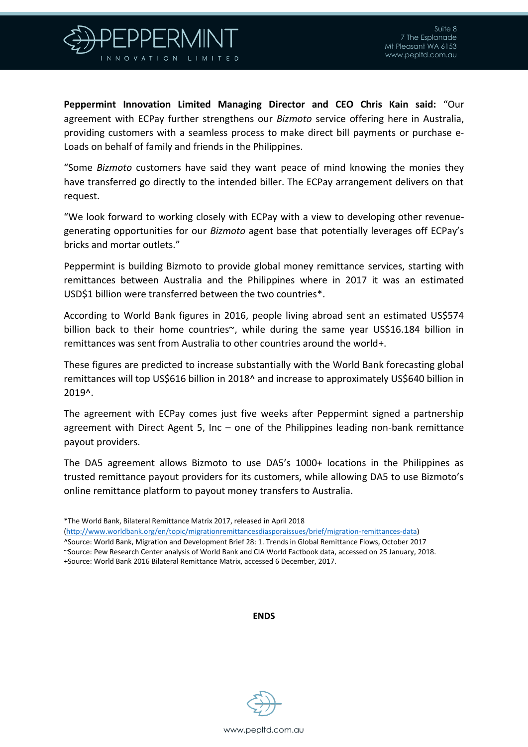

**Peppermint Innovation Limited Managing Director and CEO Chris Kain said:** "Our agreement with ECPay further strengthens our *Bizmoto* service offering here in Australia, providing customers with a seamless process to make direct bill payments or purchase e-Loads on behalf of family and friends in the Philippines.

"Some *Bizmoto* customers have said they want peace of mind knowing the monies they have transferred go directly to the intended biller. The ECPay arrangement delivers on that request.

"We look forward to working closely with ECPay with a view to developing other revenuegenerating opportunities for our *Bizmoto* agent base that potentially leverages off ECPay's bricks and mortar outlets."

Peppermint is building Bizmoto to provide global money remittance services, starting with remittances between Australia and the Philippines where in 2017 it was an estimated USD\$1 billion were transferred between the two countries\*.

According to World Bank figures in 2016, people living abroad sent an estimated US\$574 billion back to their home countries~, while during the same year US\$16.184 billion in remittances was sent from Australia to other countries around the world+.

These figures are predicted to increase substantially with the World Bank forecasting global remittances will top US\$616 billion in 2018^ and increase to approximately US\$640 billion in 2019^.

The agreement with ECPay comes just five weeks after Peppermint signed a partnership agreement with Direct Agent 5, Inc – one of the Philippines leading non-bank remittance payout providers.

The DA5 agreement allows Bizmoto to use DA5's 1000+ locations in the Philippines as trusted remittance payout providers for its customers, while allowing DA5 to use Bizmoto's online remittance platform to payout money transfers to Australia.

[\(http://www.worldbank.org/en/topic/migrationremittancesdiasporaissues/brief/migration-remittances-data\)](http://www.worldbank.org/en/topic/migrationremittancesdiasporaissues/brief/migration-remittances-data) ^Source: World Bank, Migration and Development Brief 28: 1. Trends in Global Remittance Flows, October 2017

~Source: Pew Research Center analysis of World Bank and CIA World Factbook data, accessed on 25 January, 2018. +Source: World Bank 2016 Bilateral Remittance Matrix, accessed 6 December, 2017.

**ENDS**



<sup>\*</sup>The World Bank, Bilateral Remittance Matrix 2017, released in April 2018